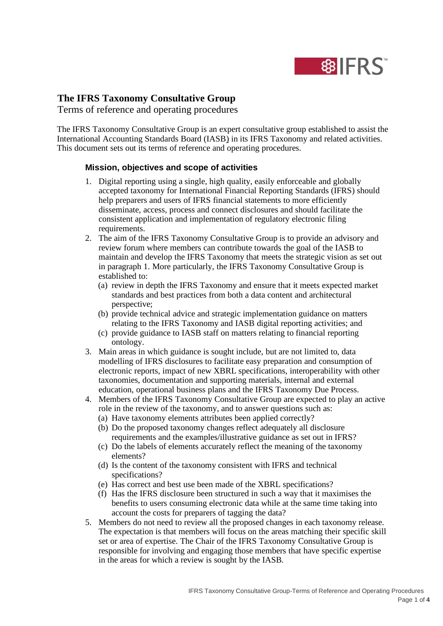

# **The IFRS Taxonomy Consultative Group**

Terms of reference and operating procedures

The IFRS Taxonomy Consultative Group is an expert consultative group established to assist the International Accounting Standards Board (IASB) in its IFRS Taxonomy and related activities. This document sets out its terms of reference and operating procedures.

## **Mission, objectives and scope of activities**

- 1. Digital reporting using a single, high quality, easily enforceable and globally accepted taxonomy for International Financial Reporting Standards (IFRS) should help preparers and users of IFRS financial statements to more efficiently disseminate, access, process and connect disclosures and should facilitate the consistent application and implementation of regulatory electronic filing requirements.
- 2. The aim of the IFRS Taxonomy Consultative Group is to provide an advisory and review forum where members can contribute towards the goal of the IASB to maintain and develop the IFRS Taxonomy that meets the strategic vision as set out in paragraph 1. More particularly, the IFRS Taxonomy Consultative Group is established to:
	- (a) review in depth the IFRS Taxonomy and ensure that it meets expected market standards and best practices from both a data content and architectural perspective;
	- (b) provide technical advice and strategic implementation guidance on matters relating to the IFRS Taxonomy and IASB digital reporting activities; and
	- (c) provide guidance to IASB staff on matters relating to financial reporting ontology.
- 3. Main areas in which guidance is sought include, but are not limited to, data modelling of IFRS disclosures to facilitate easy preparation and consumption of electronic reports, impact of new XBRL specifications, interoperability with other taxonomies, documentation and supporting materials, internal and external education, operational business plans and the IFRS Taxonomy Due Process.
- 4. Members of the IFRS Taxonomy Consultative Group are expected to play an active role in the review of the taxonomy, and to answer questions such as:
	- (a) Have taxonomy elements attributes been applied correctly?
	- (b) Do the proposed taxonomy changes reflect adequately all disclosure requirements and the examples/illustrative guidance as set out in IFRS?
	- (c) Do the labels of elements accurately reflect the meaning of the taxonomy elements?
	- (d) Is the content of the taxonomy consistent with IFRS and technical specifications?
	- (e) Has correct and best use been made of the XBRL specifications?
	- (f) Has the IFRS disclosure been structured in such a way that it maximises the benefits to users consuming electronic data while at the same time taking into account the costs for preparers of tagging the data?
- 5. Members do not need to review all the proposed changes in each taxonomy release. The expectation is that members will focus on the areas matching their specific skill set or area of expertise. The Chair of the IFRS Taxonomy Consultative Group is responsible for involving and engaging those members that have specific expertise in the areas for which a review is sought by the IASB.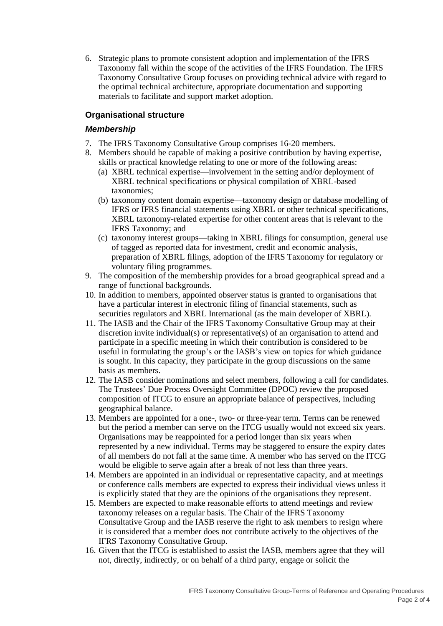6. Strategic plans to promote consistent adoption and implementation of the IFRS Taxonomy fall within the scope of the activities of the IFRS Foundation. The IFRS Taxonomy Consultative Group focuses on providing technical advice with regard to the optimal technical architecture, appropriate documentation and supporting materials to facilitate and support market adoption.

## **Organisational structure**

#### *Membership*

- 7. The IFRS Taxonomy Consultative Group comprises 16-20 members.
- 8. Members should be capable of making a positive contribution by having expertise, skills or practical knowledge relating to one or more of the following areas:
	- (a) XBRL technical expertise—involvement in the setting and/or deployment of XBRL technical specifications or physical compilation of XBRL-based taxonomies;
	- (b) taxonomy content domain expertise—taxonomy design or database modelling of IFRS or IFRS financial statements using XBRL or other technical specifications, XBRL taxonomy-related expertise for other content areas that is relevant to the IFRS Taxonomy; and
	- (c) taxonomy interest groups—taking in XBRL filings for consumption, general use of tagged as reported data for investment, credit and economic analysis, preparation of XBRL filings, adoption of the IFRS Taxonomy for regulatory or voluntary filing programmes.
- 9. The composition of the membership provides for a broad geographical spread and a range of functional backgrounds.
- 10. In addition to members, appointed observer status is granted to organisations that have a particular interest in electronic filing of financial statements, such as securities regulators and XBRL International (as the main developer of XBRL).
- 11. The IASB and the Chair of the IFRS Taxonomy Consultative Group may at their discretion invite individual(s) or representative(s) of an organisation to attend and participate in a specific meeting in which their contribution is considered to be useful in formulating the group's or the IASB's view on topics for which guidance is sought. In this capacity, they participate in the group discussions on the same basis as members.
- 12. The IASB consider nominations and select members, following a call for candidates. The Trustees' Due Process Oversight Committee (DPOC) review the proposed composition of ITCG to ensure an appropriate balance of perspectives, including geographical balance.
- 13. Members are appointed for a one-, two- or three-year term. Terms can be renewed but the period a member can serve on the ITCG usually would not exceed six years. Organisations may be reappointed for a period longer than six years when represented by a new individual. Terms may be staggered to ensure the expiry dates of all members do not fall at the same time. A member who has served on the ITCG would be eligible to serve again after a break of not less than three years.
- 14. Members are appointed in an individual or representative capacity, and at meetings or conference calls members are expected to express their individual views unless it is explicitly stated that they are the opinions of the organisations they represent.
- 15. Members are expected to make reasonable efforts to attend meetings and review taxonomy releases on a regular basis. The Chair of the IFRS Taxonomy Consultative Group and the IASB reserve the right to ask members to resign where it is considered that a member does not contribute actively to the objectives of the IFRS Taxonomy Consultative Group.
- 16. Given that the ITCG is established to assist the IASB, members agree that they will not, directly, indirectly, or on behalf of a third party, engage or solicit the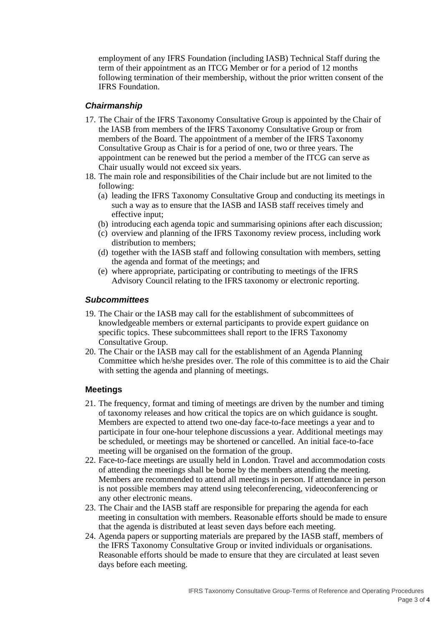employment of any IFRS Foundation (including IASB) Technical Staff during the term of their appointment as an ITCG Member or for a period of 12 months following termination of their membership, without the prior written consent of the IFRS Foundation.

#### *Chairmanship*

- 17. The Chair of the IFRS Taxonomy Consultative Group is appointed by the Chair of the IASB from members of the IFRS Taxonomy Consultative Group or from members of the Board. The appointment of a member of the IFRS Taxonomy Consultative Group as Chair is for a period of one, two or three years. The appointment can be renewed but the period a member of the ITCG can serve as Chair usually would not exceed six years.
- 18. The main role and responsibilities of the Chair include but are not limited to the following:
	- (a) leading the IFRS Taxonomy Consultative Group and conducting its meetings in such a way as to ensure that the IASB and IASB staff receives timely and effective input;
	- (b) introducing each agenda topic and summarising opinions after each discussion;
	- (c) overview and planning of the IFRS Taxonomy review process, including work distribution to members;
	- (d) together with the IASB staff and following consultation with members, setting the agenda and format of the meetings; and
	- (e) where appropriate, participating or contributing to meetings of the IFRS Advisory Council relating to the IFRS taxonomy or electronic reporting.

## *Subcommittees*

- 19. The Chair or the IASB may call for the establishment of subcommittees of knowledgeable members or external participants to provide expert guidance on specific topics. These subcommittees shall report to the IFRS Taxonomy Consultative Group.
- 20. The Chair or the IASB may call for the establishment of an Agenda Planning Committee which he/she presides over. The role of this committee is to aid the Chair with setting the agenda and planning of meetings.

# **Meetings**

- 21. The frequency, format and timing of meetings are driven by the number and timing of taxonomy releases and how critical the topics are on which guidance is sought. Members are expected to attend two one-day face-to-face meetings a year and to participate in four one-hour telephone discussions a year. Additional meetings may be scheduled, or meetings may be shortened or cancelled. An initial face-to-face meeting will be organised on the formation of the group.
- 22. Face-to-face meetings are usually held in London. Travel and accommodation costs of attending the meetings shall be borne by the members attending the meeting. Members are recommended to attend all meetings in person. If attendance in person is not possible members may attend using teleconferencing, videoconferencing or any other electronic means.
- 23. The Chair and the IASB staff are responsible for preparing the agenda for each meeting in consultation with members. Reasonable efforts should be made to ensure that the agenda is distributed at least seven days before each meeting.
- 24. Agenda papers or supporting materials are prepared by the IASB staff, members of the IFRS Taxonomy Consultative Group or invited individuals or organisations. Reasonable efforts should be made to ensure that they are circulated at least seven days before each meeting.